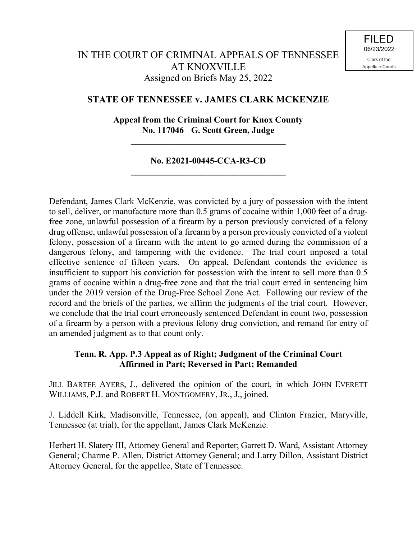# IN THE COURT OF CRIMINAL APPEALS OF TENNESSEE AT KNOXVILLE Assigned on Briefs May 25, 2022

## **STATE OF TENNESSEE v. JAMES CLARK MCKENZIE**

## **Appeal from the Criminal Court for Knox County No. 117046 G. Scott Green, Judge**

**\_\_\_\_\_\_\_\_\_\_\_\_\_\_\_\_\_\_\_\_\_\_\_\_\_\_\_\_\_\_\_\_\_\_\_**

### **No. E2021-00445-CCA-R3-CD \_\_\_\_\_\_\_\_\_\_\_\_\_\_\_\_\_\_\_\_\_\_\_\_\_\_\_\_\_\_\_\_\_\_\_**

Defendant, James Clark McKenzie, was convicted by a jury of possession with the intent to sell, deliver, or manufacture more than 0.5 grams of cocaine within 1,000 feet of a drugfree zone, unlawful possession of a firearm by a person previously convicted of a felony drug offense, unlawful possession of a firearm by a person previously convicted of a violent felony, possession of a firearm with the intent to go armed during the commission of a dangerous felony, and tampering with the evidence. The trial court imposed a total effective sentence of fifteen years. On appeal, Defendant contends the evidence is insufficient to support his conviction for possession with the intent to sell more than 0.5 grams of cocaine within a drug-free zone and that the trial court erred in sentencing him under the 2019 version of the Drug-Free School Zone Act. Following our review of the record and the briefs of the parties, we affirm the judgments of the trial court. However, we conclude that the trial court erroneously sentenced Defendant in count two, possession of a firearm by a person with a previous felony drug conviction, and remand for entry of an amended judgment as to that count only.

### **Tenn. R. App. P.3 Appeal as of Right; Judgment of the Criminal Court Affirmed in Part; Reversed in Part; Remanded**

JILL BARTEE AYERS, J., delivered the opinion of the court, in which JOHN EVERETT WILLIAMS, P.J. and ROBERT H. MONTGOMERY, JR., J., joined.

J. Liddell Kirk, Madisonville, Tennessee, (on appeal), and Clinton Frazier, Maryville, Tennessee (at trial), for the appellant, James Clark McKenzie.

Herbert H. Slatery III, Attorney General and Reporter; Garrett D. Ward, Assistant Attorney General; Charme P. Allen, District Attorney General; and Larry Dillon, Assistant District Attorney General, for the appellee, State of Tennessee.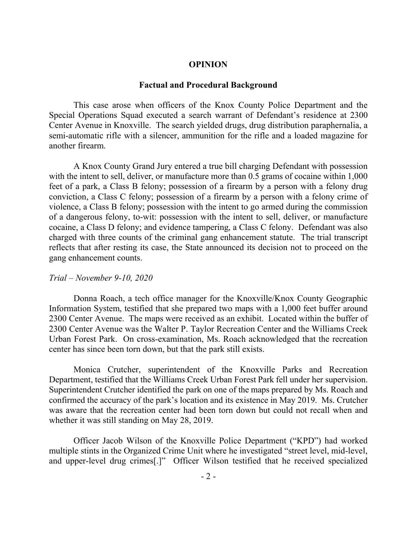### **OPINION**

#### **Factual and Procedural Background**

This case arose when officers of the Knox County Police Department and the Special Operations Squad executed a search warrant of Defendant's residence at 2300 Center Avenue in Knoxville. The search yielded drugs, drug distribution paraphernalia, a semi-automatic rifle with a silencer, ammunition for the rifle and a loaded magazine for another firearm.

A Knox County Grand Jury entered a true bill charging Defendant with possession with the intent to sell, deliver, or manufacture more than 0.5 grams of cocaine within 1,000 feet of a park, a Class B felony; possession of a firearm by a person with a felony drug conviction, a Class C felony; possession of a firearm by a person with a felony crime of violence, a Class B felony; possession with the intent to go armed during the commission of a dangerous felony, to-wit: possession with the intent to sell, deliver, or manufacture cocaine, a Class D felony; and evidence tampering, a Class C felony. Defendant was also charged with three counts of the criminal gang enhancement statute. The trial transcript reflects that after resting its case, the State announced its decision not to proceed on the gang enhancement counts.

#### *Trial – November 9-10, 2020*

Donna Roach, a tech office manager for the Knoxville/Knox County Geographic Information System, testified that she prepared two maps with a 1,000 feet buffer around 2300 Center Avenue. The maps were received as an exhibit. Located within the buffer of 2300 Center Avenue was the Walter P. Taylor Recreation Center and the Williams Creek Urban Forest Park. On cross-examination, Ms. Roach acknowledged that the recreation center has since been torn down, but that the park still exists.

Monica Crutcher, superintendent of the Knoxville Parks and Recreation Department, testified that the Williams Creek Urban Forest Park fell under her supervision. Superintendent Crutcher identified the park on one of the maps prepared by Ms. Roach and confirmed the accuracy of the park's location and its existence in May 2019. Ms. Crutcher was aware that the recreation center had been torn down but could not recall when and whether it was still standing on May 28, 2019.

Officer Jacob Wilson of the Knoxville Police Department ("KPD") had worked multiple stints in the Organized Crime Unit where he investigated "street level, mid-level, and upper-level drug crimes[.]" Officer Wilson testified that he received specialized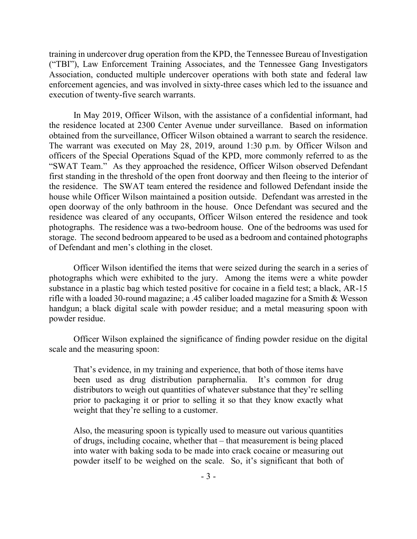training in undercover drug operation from the KPD, the Tennessee Bureau of Investigation ("TBI"), Law Enforcement Training Associates, and the Tennessee Gang Investigators Association, conducted multiple undercover operations with both state and federal law enforcement agencies, and was involved in sixty-three cases which led to the issuance and execution of twenty-five search warrants.

In May 2019, Officer Wilson, with the assistance of a confidential informant, had the residence located at 2300 Center Avenue under surveillance. Based on information obtained from the surveillance, Officer Wilson obtained a warrant to search the residence. The warrant was executed on May 28, 2019, around 1:30 p.m. by Officer Wilson and officers of the Special Operations Squad of the KPD, more commonly referred to as the "SWAT Team." As they approached the residence, Officer Wilson observed Defendant first standing in the threshold of the open front doorway and then fleeing to the interior of the residence. The SWAT team entered the residence and followed Defendant inside the house while Officer Wilson maintained a position outside. Defendant was arrested in the open doorway of the only bathroom in the house. Once Defendant was secured and the residence was cleared of any occupants, Officer Wilson entered the residence and took photographs. The residence was a two-bedroom house. One of the bedrooms was used for storage. The second bedroom appeared to be used as a bedroom and contained photographs of Defendant and men's clothing in the closet.

Officer Wilson identified the items that were seized during the search in a series of photographs which were exhibited to the jury. Among the items were a white powder substance in a plastic bag which tested positive for cocaine in a field test; a black, AR-15 rifle with a loaded 30-round magazine; a .45 caliber loaded magazine for a Smith & Wesson handgun; a black digital scale with powder residue; and a metal measuring spoon with powder residue.

Officer Wilson explained the significance of finding powder residue on the digital scale and the measuring spoon:

That's evidence, in my training and experience, that both of those items have been used as drug distribution paraphernalia. It's common for drug distributors to weigh out quantities of whatever substance that they're selling prior to packaging it or prior to selling it so that they know exactly what weight that they're selling to a customer.

Also, the measuring spoon is typically used to measure out various quantities of drugs, including cocaine, whether that – that measurement is being placed into water with baking soda to be made into crack cocaine or measuring out powder itself to be weighed on the scale. So, it's significant that both of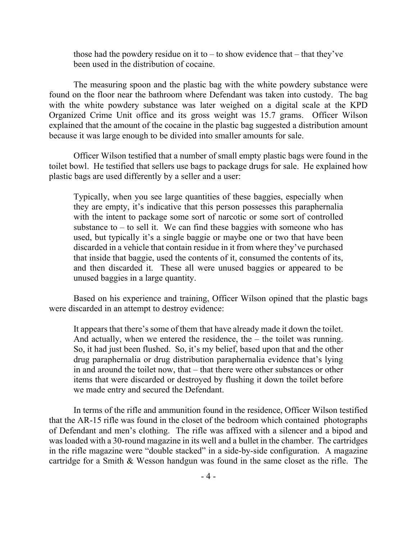those had the powdery residue on it to  $-$  to show evidence that  $-$  that they've been used in the distribution of cocaine.

The measuring spoon and the plastic bag with the white powdery substance were found on the floor near the bathroom where Defendant was taken into custody. The bag with the white powdery substance was later weighed on a digital scale at the KPD Organized Crime Unit office and its gross weight was 15.7 grams. Officer Wilson explained that the amount of the cocaine in the plastic bag suggested a distribution amount because it was large enough to be divided into smaller amounts for sale.

Officer Wilson testified that a number of small empty plastic bags were found in the toilet bowl. He testified that sellers use bags to package drugs for sale. He explained how plastic bags are used differently by a seller and a user:

Typically, when you see large quantities of these baggies, especially when they are empty, it's indicative that this person possesses this paraphernalia with the intent to package some sort of narcotic or some sort of controlled substance to  $-$  to sell it. We can find these baggies with someone who has used, but typically it's a single baggie or maybe one or two that have been discarded in a vehicle that contain residue in it from where they've purchased that inside that baggie, used the contents of it, consumed the contents of its, and then discarded it. These all were unused baggies or appeared to be unused baggies in a large quantity.

Based on his experience and training, Officer Wilson opined that the plastic bags were discarded in an attempt to destroy evidence:

It appears that there's some of them that have already made it down the toilet. And actually, when we entered the residence, the – the toilet was running. So, it had just been flushed. So, it's my belief, based upon that and the other drug paraphernalia or drug distribution paraphernalia evidence that's lying in and around the toilet now, that – that there were other substances or other items that were discarded or destroyed by flushing it down the toilet before we made entry and secured the Defendant.

In terms of the rifle and ammunition found in the residence, Officer Wilson testified that the AR-15 rifle was found in the closet of the bedroom which contained photographs of Defendant and men's clothing. The rifle was affixed with a silencer and a bipod and was loaded with a 30-round magazine in its well and a bullet in the chamber. The cartridges in the rifle magazine were "double stacked" in a side-by-side configuration. A magazine cartridge for a Smith & Wesson handgun was found in the same closet as the rifle. The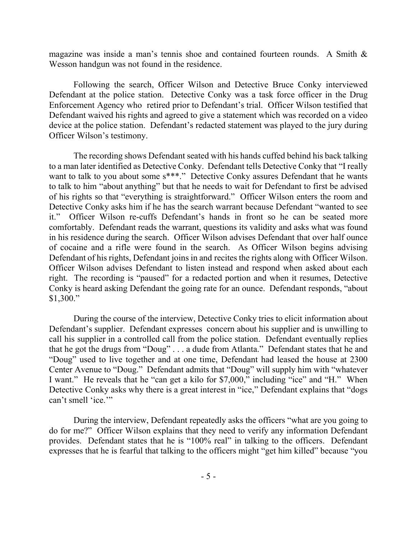magazine was inside a man's tennis shoe and contained fourteen rounds. A Smith & Wesson handgun was not found in the residence.

Following the search, Officer Wilson and Detective Bruce Conky interviewed Defendant at the police station. Detective Conky was a task force officer in the Drug Enforcement Agency who retired prior to Defendant's trial. Officer Wilson testified that Defendant waived his rights and agreed to give a statement which was recorded on a video device at the police station. Defendant's redacted statement was played to the jury during Officer Wilson's testimony.

The recording shows Defendant seated with his hands cuffed behind his back talking to a man later identified as Detective Conky. Defendant tells Detective Conky that "I really want to talk to you about some s\*\*\*." Detective Conky assures Defendant that he wants to talk to him "about anything" but that he needs to wait for Defendant to first be advised of his rights so that "everything is straightforward." Officer Wilson enters the room and Detective Conky asks him if he has the search warrant because Defendant "wanted to see it." Officer Wilson re-cuffs Defendant's hands in front so he can be seated more comfortably. Defendant reads the warrant, questions its validity and asks what was found in his residence during the search. Officer Wilson advises Defendant that over half ounce of cocaine and a rifle were found in the search. As Officer Wilson begins advising Defendant of his rights, Defendant joins in and recites the rights along with Officer Wilson. Officer Wilson advises Defendant to listen instead and respond when asked about each right. The recording is "paused" for a redacted portion and when it resumes, Detective Conky is heard asking Defendant the going rate for an ounce. Defendant responds, "about \$1,300."

During the course of the interview, Detective Conky tries to elicit information about Defendant's supplier. Defendant expresses concern about his supplier and is unwilling to call his supplier in a controlled call from the police station. Defendant eventually replies that he got the drugs from "Doug" . . . a dude from Atlanta." Defendant states that he and "Doug" used to live together and at one time, Defendant had leased the house at 2300 Center Avenue to "Doug." Defendant admits that "Doug" will supply him with "whatever I want." He reveals that he "can get a kilo for \$7,000," including "ice" and "H." When Detective Conky asks why there is a great interest in "ice," Defendant explains that "dogs can't smell 'ice.'"

During the interview, Defendant repeatedly asks the officers "what are you going to do for me?" Officer Wilson explains that they need to verify any information Defendant provides. Defendant states that he is "100% real" in talking to the officers. Defendant expresses that he is fearful that talking to the officers might "get him killed" because "you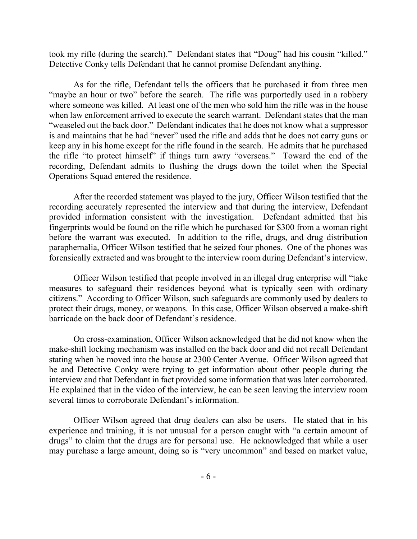took my rifle (during the search)." Defendant states that "Doug" had his cousin "killed." Detective Conky tells Defendant that he cannot promise Defendant anything.

As for the rifle, Defendant tells the officers that he purchased it from three men "maybe an hour or two" before the search. The rifle was purportedly used in a robbery where someone was killed. At least one of the men who sold him the rifle was in the house when law enforcement arrived to execute the search warrant. Defendant states that the man "weaseled out the back door." Defendant indicates that he does not know what a suppressor is and maintains that he had "never" used the rifle and adds that he does not carry guns or keep any in his home except for the rifle found in the search. He admits that he purchased the rifle "to protect himself" if things turn awry "overseas." Toward the end of the recording, Defendant admits to flushing the drugs down the toilet when the Special Operations Squad entered the residence.

After the recorded statement was played to the jury, Officer Wilson testified that the recording accurately represented the interview and that during the interview, Defendant provided information consistent with the investigation. Defendant admitted that his fingerprints would be found on the rifle which he purchased for \$300 from a woman right before the warrant was executed. In addition to the rifle, drugs, and drug distribution paraphernalia, Officer Wilson testified that he seized four phones. One of the phones was forensically extracted and was brought to the interview room during Defendant's interview.

Officer Wilson testified that people involved in an illegal drug enterprise will "take measures to safeguard their residences beyond what is typically seen with ordinary citizens." According to Officer Wilson, such safeguards are commonly used by dealers to protect their drugs, money, or weapons. In this case, Officer Wilson observed a make-shift barricade on the back door of Defendant's residence.

On cross-examination, Officer Wilson acknowledged that he did not know when the make-shift locking mechanism was installed on the back door and did not recall Defendant stating when he moved into the house at 2300 Center Avenue. Officer Wilson agreed that he and Detective Conky were trying to get information about other people during the interview and that Defendant in fact provided some information that was later corroborated. He explained that in the video of the interview, he can be seen leaving the interview room several times to corroborate Defendant's information.

Officer Wilson agreed that drug dealers can also be users. He stated that in his experience and training, it is not unusual for a person caught with "a certain amount of drugs" to claim that the drugs are for personal use. He acknowledged that while a user may purchase a large amount, doing so is "very uncommon" and based on market value,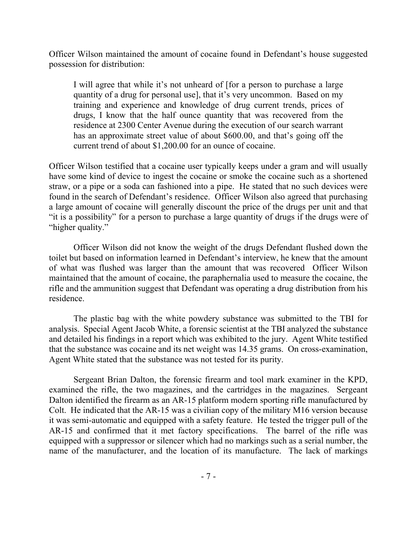Officer Wilson maintained the amount of cocaine found in Defendant's house suggested possession for distribution:

I will agree that while it's not unheard of [for a person to purchase a large quantity of a drug for personal use], that it's very uncommon. Based on my training and experience and knowledge of drug current trends, prices of drugs, I know that the half ounce quantity that was recovered from the residence at 2300 Center Avenue during the execution of our search warrant has an approximate street value of about \$600.00, and that's going off the current trend of about \$1,200.00 for an ounce of cocaine.

Officer Wilson testified that a cocaine user typically keeps under a gram and will usually have some kind of device to ingest the cocaine or smoke the cocaine such as a shortened straw, or a pipe or a soda can fashioned into a pipe. He stated that no such devices were found in the search of Defendant's residence. Officer Wilson also agreed that purchasing a large amount of cocaine will generally discount the price of the drugs per unit and that "it is a possibility" for a person to purchase a large quantity of drugs if the drugs were of "higher quality."

Officer Wilson did not know the weight of the drugs Defendant flushed down the toilet but based on information learned in Defendant's interview, he knew that the amount of what was flushed was larger than the amount that was recovered Officer Wilson maintained that the amount of cocaine, the paraphernalia used to measure the cocaine, the rifle and the ammunition suggest that Defendant was operating a drug distribution from his residence.

The plastic bag with the white powdery substance was submitted to the TBI for analysis. Special Agent Jacob White, a forensic scientist at the TBI analyzed the substance and detailed his findings in a report which was exhibited to the jury. Agent White testified that the substance was cocaine and its net weight was 14.35 grams. On cross-examination, Agent White stated that the substance was not tested for its purity.

Sergeant Brian Dalton, the forensic firearm and tool mark examiner in the KPD, examined the rifle, the two magazines, and the cartridges in the magazines. Sergeant Dalton identified the firearm as an AR-15 platform modern sporting rifle manufactured by Colt. He indicated that the AR-15 was a civilian copy of the military M16 version because it was semi-automatic and equipped with a safety feature. He tested the trigger pull of the AR-15 and confirmed that it met factory specifications. The barrel of the rifle was equipped with a suppressor or silencer which had no markings such as a serial number, the name of the manufacturer, and the location of its manufacture. The lack of markings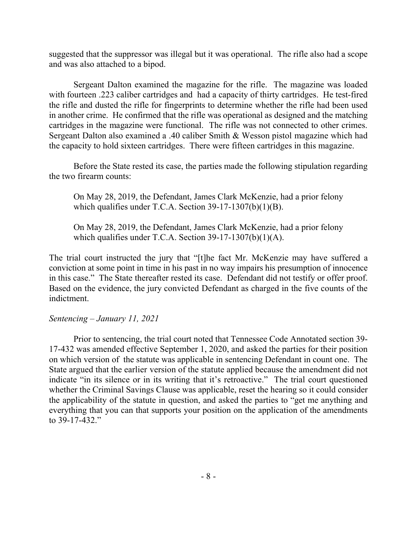suggested that the suppressor was illegal but it was operational. The rifle also had a scope and was also attached to a bipod.

Sergeant Dalton examined the magazine for the rifle. The magazine was loaded with fourteen .223 caliber cartridges and had a capacity of thirty cartridges. He test-fired the rifle and dusted the rifle for fingerprints to determine whether the rifle had been used in another crime. He confirmed that the rifle was operational as designed and the matching cartridges in the magazine were functional. The rifle was not connected to other crimes. Sergeant Dalton also examined a .40 caliber Smith & Wesson pistol magazine which had the capacity to hold sixteen cartridges. There were fifteen cartridges in this magazine.

Before the State rested its case, the parties made the following stipulation regarding the two firearm counts:

On May 28, 2019, the Defendant, James Clark McKenzie, had a prior felony which qualifies under T.C.A. Section 39-17-1307(b)(1)(B).

On May 28, 2019, the Defendant, James Clark McKenzie, had a prior felony which qualifies under T.C.A. Section 39-17-1307(b)(1)(A).

The trial court instructed the jury that "[t]he fact Mr. McKenzie may have suffered a conviction at some point in time in his past in no way impairs his presumption of innocence in this case." The State thereafter rested its case. Defendant did not testify or offer proof. Based on the evidence, the jury convicted Defendant as charged in the five counts of the indictment.

## *Sentencing – January 11, 2021*

Prior to sentencing, the trial court noted that Tennessee Code Annotated section 39- 17-432 was amended effective September 1, 2020, and asked the parties for their position on which version of the statute was applicable in sentencing Defendant in count one. The State argued that the earlier version of the statute applied because the amendment did not indicate "in its silence or in its writing that it's retroactive." The trial court questioned whether the Criminal Savings Clause was applicable, reset the hearing so it could consider the applicability of the statute in question, and asked the parties to "get me anything and everything that you can that supports your position on the application of the amendments to 39-17-432."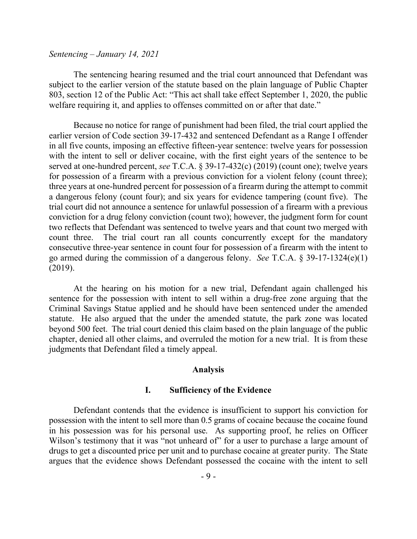#### *Sentencing – January 14, 2021*

The sentencing hearing resumed and the trial court announced that Defendant was subject to the earlier version of the statute based on the plain language of Public Chapter 803, section 12 of the Public Act: "This act shall take effect September 1, 2020, the public welfare requiring it, and applies to offenses committed on or after that date."

Because no notice for range of punishment had been filed, the trial court applied the earlier version of Code section 39-17-432 and sentenced Defendant as a Range I offender in all five counts, imposing an effective fifteen-year sentence: twelve years for possession with the intent to sell or deliver cocaine, with the first eight years of the sentence to be served at one-hundred percent, *see* T.C.A. § 39-17-432(c) (2019) (count one); twelve years for possession of a firearm with a previous conviction for a violent felony (count three); three years at one-hundred percent for possession of a firearm during the attempt to commit a dangerous felony (count four); and six years for evidence tampering (count five). The trial court did not announce a sentence for unlawful possession of a firearm with a previous conviction for a drug felony conviction (count two); however, the judgment form for count two reflects that Defendant was sentenced to twelve years and that count two merged with count three. The trial court ran all counts concurrently except for the mandatory consecutive three-year sentence in count four for possession of a firearm with the intent to go armed during the commission of a dangerous felony. *See* T.C.A. § 39-17-1324(e)(1) (2019).

At the hearing on his motion for a new trial, Defendant again challenged his sentence for the possession with intent to sell within a drug-free zone arguing that the Criminal Savings Statue applied and he should have been sentenced under the amended statute. He also argued that the under the amended statute, the park zone was located beyond 500 feet. The trial court denied this claim based on the plain language of the public chapter, denied all other claims, and overruled the motion for a new trial. It is from these judgments that Defendant filed a timely appeal.

#### **Analysis**

#### **I. Sufficiency of the Evidence**

Defendant contends that the evidence is insufficient to support his conviction for possession with the intent to sell more than 0.5 grams of cocaine because the cocaine found in his possession was for his personal use. As supporting proof, he relies on Officer Wilson's testimony that it was "not unheard of" for a user to purchase a large amount of drugs to get a discounted price per unit and to purchase cocaine at greater purity. The State argues that the evidence shows Defendant possessed the cocaine with the intent to sell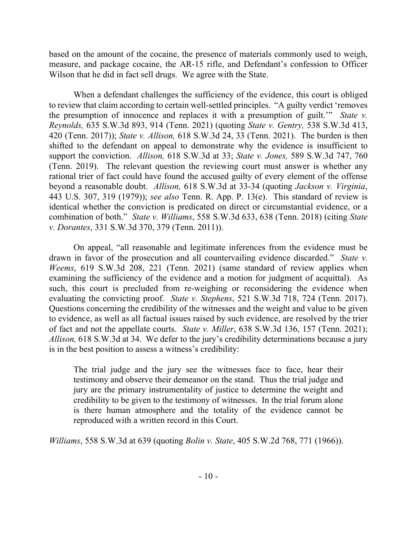based on the amount of the cocaine, the presence of materials commonly used to weigh, measure, and package cocaine, the AR-15 rifle, and Defendant's confession to Officer Wilson that he did in fact sell drugs. We agree with the State.

When a defendant challenges the sufficiency of the evidence, this court is obliged to review that claim according to certain well-settled principles. "A guilty verdict 'removes the presumption of innocence and replaces it with a presumption of guilt.'" *State v. Reynolds,* 635 S.W.3d 893, 914 (Tenn. 2021) (quoting *State v. Gentry,* 538 S.W.3d 413, 420 (Tenn. 2017)); *State v. Allison,* 618 S.W.3d 24, 33 (Tenn. 2021). The burden is then shifted to the defendant on appeal to demonstrate why the evidence is insufficient to support the conviction. *Allison,* 618 S.W.3d at 33; *State v. Jones,* 589 S.W.3d 747, 760 (Tenn. 2019). The relevant question the reviewing court must answer is whether any rational trier of fact could have found the accused guilty of every element of the offense beyond a reasonable doubt. *Allison,* 618 S.W.3d at 33-34 (quoting *Jackson v. Virginia*, 443 U.S. 307, 319 (1979)); *see also* Tenn. R. App. P. 13(e). This standard of review is identical whether the conviction is predicated on direct or circumstantial evidence, or a combination of both." *State v. Williams*, 558 S.W.3d 633, 638 (Tenn. 2018) (citing *State v. Dorantes*, 331 S.W.3d 370, 379 (Tenn. 2011)).

On appeal, "all reasonable and legitimate inferences from the evidence must be drawn in favor of the prosecution and all countervailing evidence discarded." *State v. Weems*, 619 S.W.3d 208, 221 (Tenn. 2021) (same standard of review applies when examining the sufficiency of the evidence and a motion for judgment of acquittal). As such, this court is precluded from re-weighing or reconsidering the evidence when evaluating the convicting proof. *State v. Stephens*, 521 S.W.3d 718, 724 (Tenn. 2017). Questions concerning the credibility of the witnesses and the weight and value to be given to evidence, as well as all factual issues raised by such evidence, are resolved by the trier of fact and not the appellate courts. *State v. Miller*, 638 S.W.3d 136, 157 (Tenn. 2021); *Allison,* 618 S.W.3d at 34. We defer to the jury's credibility determinations because a jury is in the best position to assess a witness's credibility:

The trial judge and the jury see the witnesses face to face, hear their testimony and observe their demeanor on the stand. Thus the trial judge and jury are the primary instrumentality of justice to determine the weight and credibility to be given to the testimony of witnesses. In the trial forum alone is there human atmosphere and the totality of the evidence cannot be reproduced with a written record in this Court.

*Williams*, 558 S.W.3d at 639 (quoting *Bolin v. State*, 405 S.W.2d 768, 771 (1966)).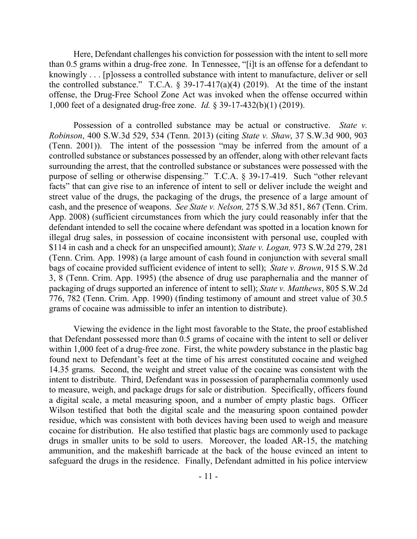Here, Defendant challenges his conviction for possession with the intent to sell more than 0.5 grams within a drug-free zone. In Tennessee, "[i]t is an offense for a defendant to knowingly . . . [p]ossess a controlled substance with intent to manufacture, deliver or sell the controlled substance." T.C.A.  $\S$  39-17-417(a)(4) (2019). At the time of the instant offense, the Drug-Free School Zone Act was invoked when the offense occurred within 1,000 feet of a designated drug-free zone. *Id.* § 39-17-432(b)(1) (2019).

Possession of a controlled substance may be actual or constructive. *State v. Robinson*, 400 S.W.3d 529, 534 (Tenn. 2013) (citing *State v. Shaw*, 37 S.W.3d 900, 903 (Tenn. 2001)). The intent of the possession "may be inferred from the amount of a controlled substance or substances possessed by an offender, along with other relevant facts surrounding the arrest, that the controlled substance or substances were possessed with the purpose of selling or otherwise dispensing." T.C.A. § 39-17-419. Such "other relevant facts" that can give rise to an inference of intent to sell or deliver include the weight and street value of the drugs, the packaging of the drugs, the presence of a large amount of cash, and the presence of weapons. *See State v. Nelson,* 275 S.W.3d 851, 867 (Tenn. Crim. App. 2008) (sufficient circumstances from which the jury could reasonably infer that the defendant intended to sell the cocaine where defendant was spotted in a location known for illegal drug sales, in possession of cocaine inconsistent with personal use, coupled with \$114 in cash and a check for an unspecified amount); *State v. Logan,* 973 S.W.2d 279, 281 (Tenn. Crim. App. 1998) (a large amount of cash found in conjunction with several small bags of cocaine provided sufficient evidence of intent to sell); *State v. Brown*, 915 S.W.2d 3, 8 (Tenn. Crim. App. 1995) (the absence of drug use paraphernalia and the manner of packaging of drugs supported an inference of intent to sell); *State v. Matthews*, 805 S.W.2d 776, 782 (Tenn. Crim. App. 1990) (finding testimony of amount and street value of 30.5 grams of cocaine was admissible to infer an intention to distribute).

Viewing the evidence in the light most favorable to the State, the proof established that Defendant possessed more than 0.5 grams of cocaine with the intent to sell or deliver within 1,000 feet of a drug-free zone. First, the white powdery substance in the plastic bag found next to Defendant's feet at the time of his arrest constituted cocaine and weighed 14.35 grams. Second, the weight and street value of the cocaine was consistent with the intent to distribute. Third, Defendant was in possession of paraphernalia commonly used to measure, weigh, and package drugs for sale or distribution. Specifically, officers found a digital scale, a metal measuring spoon, and a number of empty plastic bags. Officer Wilson testified that both the digital scale and the measuring spoon contained powder residue, which was consistent with both devices having been used to weigh and measure cocaine for distribution. He also testified that plastic bags are commonly used to package drugs in smaller units to be sold to users. Moreover, the loaded AR-15, the matching ammunition, and the makeshift barricade at the back of the house evinced an intent to safeguard the drugs in the residence. Finally, Defendant admitted in his police interview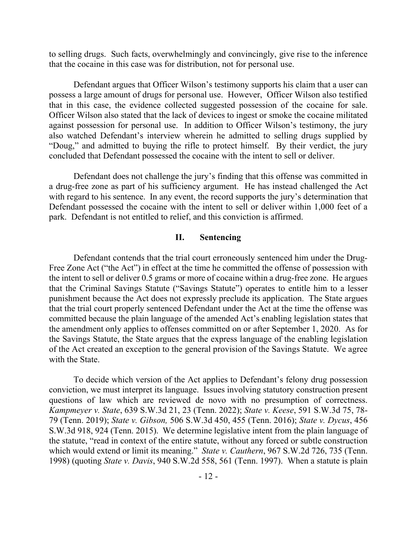to selling drugs. Such facts, overwhelmingly and convincingly, give rise to the inference that the cocaine in this case was for distribution, not for personal use.

Defendant argues that Officer Wilson's testimony supports his claim that a user can possess a large amount of drugs for personal use. However, Officer Wilson also testified that in this case, the evidence collected suggested possession of the cocaine for sale. Officer Wilson also stated that the lack of devices to ingest or smoke the cocaine militated against possession for personal use. In addition to Officer Wilson's testimony, the jury also watched Defendant's interview wherein he admitted to selling drugs supplied by "Doug," and admitted to buying the rifle to protect himself. By their verdict, the jury concluded that Defendant possessed the cocaine with the intent to sell or deliver.

Defendant does not challenge the jury's finding that this offense was committed in a drug-free zone as part of his sufficiency argument. He has instead challenged the Act with regard to his sentence. In any event, the record supports the jury's determination that Defendant possessed the cocaine with the intent to sell or deliver within 1,000 feet of a park. Defendant is not entitled to relief, and this conviction is affirmed.

### **II. Sentencing**

Defendant contends that the trial court erroneously sentenced him under the Drug-Free Zone Act ("the Act") in effect at the time he committed the offense of possession with the intent to sell or deliver 0.5 grams or more of cocaine within a drug-free zone. He argues that the Criminal Savings Statute ("Savings Statute") operates to entitle him to a lesser punishment because the Act does not expressly preclude its application. The State argues that the trial court properly sentenced Defendant under the Act at the time the offense was committed because the plain language of the amended Act's enabling legislation states that the amendment only applies to offenses committed on or after September 1, 2020. As for the Savings Statute, the State argues that the express language of the enabling legislation of the Act created an exception to the general provision of the Savings Statute. We agree with the State.

To decide which version of the Act applies to Defendant's felony drug possession conviction, we must interpret its language. Issues involving statutory construction present questions of law which are reviewed de novo with no presumption of correctness. *Kampmeyer v. State*, 639 S.W.3d 21, 23 (Tenn. 2022); *State v. Keese*, 591 S.W.3d 75, 78- 79 (Tenn. 2019); *State v. Gibson,* 506 S.W.3d 450, 455 (Tenn. 2016); *State v. Dycus*, 456 S.W.3d 918, 924 (Tenn. 2015). We determine legislative intent from the plain language of the statute, "read in context of the entire statute, without any forced or subtle construction which would extend or limit its meaning." *State v. Cauthern*, 967 S.W.2d 726, 735 (Tenn. 1998) (quoting *State v. Davis*, 940 S.W.2d 558, 561 (Tenn. 1997). When a statute is plain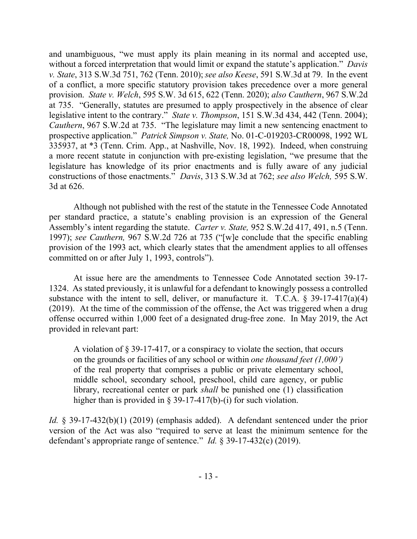and unambiguous, "we must apply its plain meaning in its normal and accepted use, without a forced interpretation that would limit or expand the statute's application." *Davis v. State*, 313 S.W.3d 751, 762 (Tenn. 2010); *see also Keese*, 591 S.W.3d at 79. In the event of a conflict, a more specific statutory provision takes precedence over a more general provision. *State v. Welch*, 595 S.W. 3d 615, 622 (Tenn. 2020); *also Cauthern*, 967 S.W.2d at 735. "Generally, statutes are presumed to apply prospectively in the absence of clear legislative intent to the contrary." *State v. Thompson*, 151 S.W.3d 434, 442 (Tenn. 2004); *Cauthern*, 967 S.W.2d at 735. "The legislature may limit a new sentencing enactment to prospective application." *Patrick Simpson v. State,* No. 01-C-019203-CR00098, 1992 WL 335937, at \*3 (Tenn. Crim. App., at Nashville, Nov. 18, 1992). Indeed, when construing a more recent statute in conjunction with pre-existing legislation, "we presume that the legislature has knowledge of its prior enactments and is fully aware of any judicial constructions of those enactments." *Davis*, 313 S.W.3d at 762; *see also Welch,* 595 S.W. 3d at 626.

Although not published with the rest of the statute in the Tennessee Code Annotated per standard practice, a statute's enabling provision is an expression of the General Assembly's intent regarding the statute. *Carter v. State,* 952 S.W.2d 417, 491, n.5 (Tenn. 1997); *see Cauthern,* 967 S.W.2d 726 at 735 ("[w]e conclude that the specific enabling provision of the 1993 act, which clearly states that the amendment applies to all offenses committed on or after July 1, 1993, controls").

At issue here are the amendments to Tennessee Code Annotated section 39-17- 1324. As stated previously, it is unlawful for a defendant to knowingly possess a controlled substance with the intent to sell, deliver, or manufacture it. T.C.A.  $\S$  39-17-417(a)(4) (2019). At the time of the commission of the offense, the Act was triggered when a drug offense occurred within 1,000 feet of a designated drug-free zone. In May 2019, the Act provided in relevant part:

A violation of § 39-17-417, or a conspiracy to violate the section, that occurs on the grounds or facilities of any school or within *one thousand feet (1,000')*  of the real property that comprises a public or private elementary school, middle school, secondary school, preschool, child care agency, or public library, recreational center or park *shall* be punished one (1) classification higher than is provided in § 39-17-417(b)-(i) for such violation.

*Id.* § 39-17-432(b)(1) (2019) (emphasis added). A defendant sentenced under the prior version of the Act was also "required to serve at least the minimum sentence for the defendant's appropriate range of sentence." *Id.* § 39-17-432(c) (2019).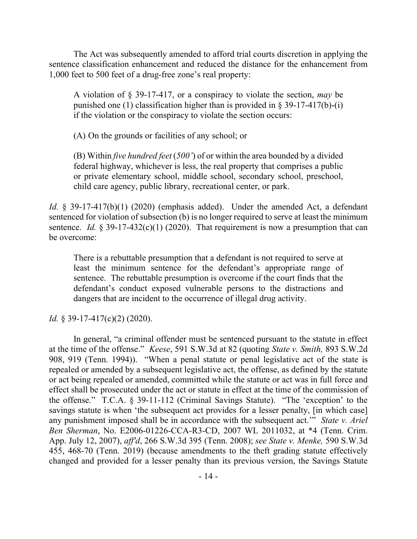The Act was subsequently amended to afford trial courts discretion in applying the sentence classification enhancement and reduced the distance for the enhancement from 1,000 feet to 500 feet of a drug-free zone's real property:

A violation of § 39-17-417, or a conspiracy to violate the section, *may* be punished one (1) classification higher than is provided in  $\S$  39-17-417(b)-(i) if the violation or the conspiracy to violate the section occurs:

(A) On the grounds or facilities of any school; or

(B) Within *five hundred feet* (*500'*) of or within the area bounded by a divided federal highway, whichever is less, the real property that comprises a public or private elementary school, middle school, secondary school, preschool, child care agency, public library, recreational center, or park.

*Id.* § 39-17-417(b)(1) (2020) (emphasis added). Under the amended Act, a defendant sentenced for violation of subsection (b) is no longer required to serve at least the minimum sentence. *Id.*  $\S 39-17-432(c)(1)$  (2020). That requirement is now a presumption that can be overcome:

There is a rebuttable presumption that a defendant is not required to serve at least the minimum sentence for the defendant's appropriate range of sentence. The rebuttable presumption is overcome if the court finds that the defendant's conduct exposed vulnerable persons to the distractions and dangers that are incident to the occurrence of illegal drug activity.

*Id.* § 39-17-417(c)(2) (2020).

In general, "a criminal offender must be sentenced pursuant to the statute in effect at the time of the offense." *Keese*, 591 S.W.3d at 82 (quoting *State v. Smith,* 893 S.W.2d 908, 919 (Tenn. 1994)). "When a penal statute or penal legislative act of the state is repealed or amended by a subsequent legislative act, the offense, as defined by the statute or act being repealed or amended, committed while the statute or act was in full force and effect shall be prosecuted under the act or statute in effect at the time of the commission of the offense." T.C.A. § 39-11-112 (Criminal Savings Statute). "The 'exception' to the savings statute is when 'the subsequent act provides for a lesser penalty, [in which case] any punishment imposed shall be in accordance with the subsequent act.'" *State v. Ariel Ben Sherman*, No. E2006-01226-CCA-R3-CD, 2007 WL 2011032, at \*4 (Tenn. Crim. App. July 12, 2007), *aff'd*, 266 S.W.3d 395 (Tenn. 2008); *see State v. Menke,* 590 S.W.3d 455, 468-70 (Tenn. 2019) (because amendments to the theft grading statute effectively changed and provided for a lesser penalty than its previous version, the Savings Statute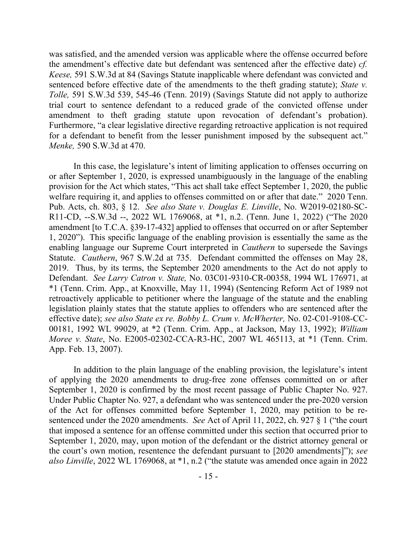was satisfied, and the amended version was applicable where the offense occurred before the amendment's effective date but defendant was sentenced after the effective date) *cf. Keese,* 591 S.W.3d at 84 (Savings Statute inapplicable where defendant was convicted and sentenced before effective date of the amendments to the theft grading statute); *State v. Tolle,* 591 S.W.3d 539, 545-46 (Tenn. 2019) (Savings Statute did not apply to authorize trial court to sentence defendant to a reduced grade of the convicted offense under amendment to theft grading statute upon revocation of defendant's probation). Furthermore, "a clear legislative directive regarding retroactive application is not required for a defendant to benefit from the lesser punishment imposed by the subsequent act." *Menke,* 590 S.W.3d at 470.

In this case, the legislature's intent of limiting application to offenses occurring on or after September 1, 2020, is expressed unambiguously in the language of the enabling provision for the Act which states, "This act shall take effect September 1, 2020, the public welfare requiring it, and applies to offenses committed on or after that date." 2020 Tenn. Pub. Acts, ch. 803, § 12. *See also State v. Douglas E. Linville*, No. W2019-02180-SC-R11-CD, --S.W.3d --, 2022 WL 1769068, at \*1, n.2. (Tenn. June 1, 2022) ("The 2020 amendment [to T.C.A. §39-17-432] applied to offenses that occurred on or after September 1, 2020"). This specific language of the enabling provision is essentially the same as the enabling language our Supreme Court interpreted in *Cauthern* to supersede the Savings Statute. *Cauthern*, 967 S.W.2d at 735. Defendant committed the offenses on May 28, 2019. Thus, by its terms, the September 2020 amendments to the Act do not apply to Defendant. *See Larry Catron v. State,* No. 03C01-9310-CR-00358, 1994 WL 176971, at \*1 (Tenn. Crim. App., at Knoxville, May 11, 1994) (Sentencing Reform Act of 1989 not retroactively applicable to petitioner where the language of the statute and the enabling legislation plainly states that the statute applies to offenders who are sentenced after the effective date); *see also State ex re. Bobby L. Crum v. McWherter,* No. 02-C01-9108-CC-00181, 1992 WL 99029, at \*2 (Tenn. Crim. App., at Jackson, May 13, 1992); *William Moree v. State*, No. E2005-02302-CCA-R3-HC, 2007 WL 465113, at \*1 (Tenn. Crim. App. Feb. 13, 2007).

In addition to the plain language of the enabling provision, the legislature's intent of applying the 2020 amendments to drug-free zone offenses committed on or after September 1, 2020 is confirmed by the most recent passage of Public Chapter No. 927. Under Public Chapter No. 927, a defendant who was sentenced under the pre-2020 version of the Act for offenses committed before September 1, 2020, may petition to be resentenced under the 2020 amendments. *See* Act of April 11, 2022, ch. 927 § 1 ("the court that imposed a sentence for an offense committed under this section that occurred prior to September 1, 2020, may, upon motion of the defendant or the district attorney general or the court's own motion, resentence the defendant pursuant to [2020 amendments]"); *see also Linville*, 2022 WL 1769068, at \*1, n.2 ("the statute was amended once again in 2022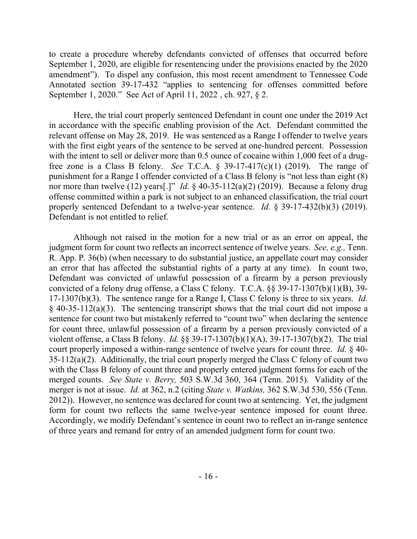to create a procedure whereby defendants convicted of offenses that occurred before September 1, 2020, are eligible for resentencing under the provisions enacted by the 2020 amendment"). To dispel any confusion, this most recent amendment to Tennessee Code Annotated section 39-17-432 "applies to sentencing for offenses committed before September 1, 2020." See Act of April 11, 2022 , ch. 927, § 2.

Here, the trial court properly sentenced Defendant in count one under the 2019 Act in accordance with the specific enabling provision of the Act. Defendant committed the relevant offense on May 28, 2019. He was sentenced as a Range I offender to twelve years with the first eight years of the sentence to be served at one-hundred percent. Possession with the intent to sell or deliver more than 0.5 ounce of cocaine within 1,000 feet of a drugfree zone is a Class B felony. *See* T.C.A.  $\frac{5}{9}$  39-17-417(c)(1) (2019). The range of punishment for a Range I offender convicted of a Class B felony is "not less than eight (8) nor more than twelve (12) years[.]" *Id.* § 40-35-112(a)(2) (2019). Because a felony drug offense committed within a park is not subject to an enhanced classification, the trial court properly sentenced Defendant to a twelve-year sentence. *Id.* § 39-17-432(b)(3) (2019). Defendant is not entitled to relief.

Although not raised in the motion for a new trial or as an error on appeal, the judgment form for count two reflects an incorrect sentence of twelve years. *See, e.g.,* Tenn. R. App. P. 36(b) (when necessary to do substantial justice, an appellate court may consider an error that has affected the substantial rights of a party at any time). In count two, Defendant was convicted of unlawful possession of a firearm by a person previously convicted of a felony drug offense, a Class C felony. T.C.A. §§ 39-17-1307(b)(1)(B), 39- 17-1307(b)(3). The sentence range for a Range I, Class C felony is three to six years. *Id.*  $§$  40-35-112(a)(3). The sentencing transcript shows that the trial court did not impose a sentence for count two but mistakenly referred to "count two" when declaring the sentence for count three, unlawful possession of a firearm by a person previously convicted of a violent offense, a Class B felony. *Id.* §§ 39-17-1307(b)(1)(A), 39-17-1307(b)(2). The trial court properly imposed a within-range sentence of twelve years for count three. *Id.* § 40-  $35-112(a)(2)$ . Additionally, the trial court properly merged the Class C felony of count two with the Class B felony of count three and properly entered judgment forms for each of the merged counts. *See State v. Berry,* 503 S.W.3d 360, 364 (Tenn. 2015). Validity of the merger is not at issue. *Id.* at 362, n.2 (citing *State v. Watkins,* 362 S.W.3d 530, 556 (Tenn. 2012)). However, no sentence was declared for count two at sentencing. Yet, the judgment form for count two reflects the same twelve-year sentence imposed for count three. Accordingly, we modify Defendant's sentence in count two to reflect an in-range sentence of three years and remand for entry of an amended judgment form for count two.